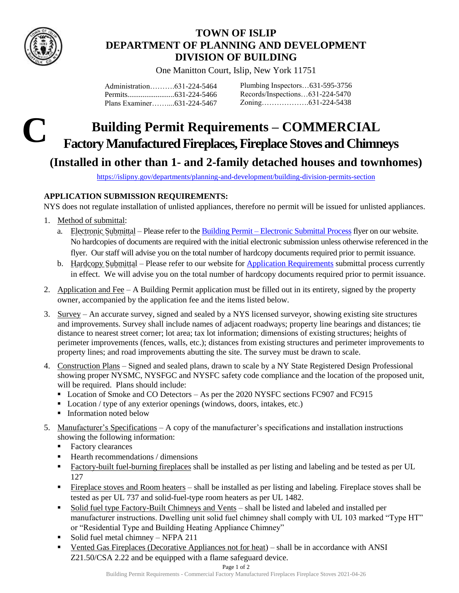

## **TOWN OF ISLIP DEPARTMENT OF PLANNING AND DEVELOPMENT DIVISION OF BUILDING**

One Manitton Court, Islip, New York 11751

| Plans Examiner631-224-5467 |  |
|----------------------------|--|

Plumbing Inspectors…631-595-3756 Records/Inspections…631-224-5470 Zoning……………….631-224-5438

## **C Building Permit Requirements – COMMERCIAL Factory Manufactured Fireplaces,Fireplace Stoves and Chimneys**

## **(Installed in other than 1- and 2-family detached houses and townhomes)**

<https://islipny.gov/departments/planning-and-development/building-division-permits-section>

## **APPLICATION SUBMISSION REQUIREMENTS:**

NYS does not regulate installation of unlisted appliances, therefore no permit will be issued for unlisted appliances.

- 1. Method of submittal:
	- a. Electronic Submittal Please refer to the Building Permit [Electronic Submittal Process](https://islipny.gov/building-division-permits-list/986-document-upload-instructions-for-electronic-submissions-building/file) flyer on our website. No hardcopies of documents are required with the initial electronic submission unless otherwise referenced in the flyer. Our staff will advise you on the total number of hardcopy documents required prior to permit issuance.
	- b. Hardcopy Submittal Please refer to our website for [Application Requirements](https://islipny.gov/community-and-services/documents/planning-development/980-planning-development-temporary-application-process-requirements-during-covid-19-pandemic/file) submittal process currently in effect. We will advise you on the total number of hardcopy documents required prior to permit issuance.
- 2. Application and Fee A Building Permit application must be filled out in its entirety, signed by the property owner, accompanied by the application fee and the items listed below.
- 3. Survey An accurate survey, signed and sealed by a NYS licensed surveyor, showing existing site structures and improvements. Survey shall include names of adjacent roadways; property line bearings and distances; tie distance to nearest street corner; lot area; tax lot information; dimensions of existing structures; heights of perimeter improvements (fences, walls, etc.); distances from existing structures and perimeter improvements to property lines; and road improvements abutting the site. The survey must be drawn to scale.
- 4. Construction Plans Signed and sealed plans, drawn to scale by a NY State Registered Design Professional showing proper NYSMC, NYSFGC and NYSFC safety code compliance and the location of the proposed unit, will be required. Plans should include:
	- Location of Smoke and CO Detectors As per the 2020 NYSFC sections FC907 and FC915
	- Location / type of any exterior openings (windows, doors, intakes, etc.)
	- **Information noted below**
- 5. Manufacturer's Specifications A copy of the manufacturer's specifications and installation instructions showing the following information:
	- Factory clearances
	- $\blacksquare$  Hearth recommendations / dimensions
	- Factory-built fuel-burning fireplaces shall be installed as per listing and labeling and be tested as per UL 127
	- Fireplace stoves and Room heaters shall be installed as per listing and labeling. Fireplace stoves shall be tested as per UL 737 and solid-fuel-type room heaters as per UL 1482.
	- Solid fuel type Factory-Built Chimneys and Vents shall be listed and labeled and installed per manufacturer instructions. Dwelling unit solid fuel chimney shall comply with UL 103 marked "Type HT" or "Residential Type and Building Heating Appliance Chimney"
	- Solid fuel metal chimney NFPA 211
	- Vented Gas Fireplaces (Decorative Appliances not for heat) shall be in accordance with ANSI Z21.50/CSA 2.22 and be equipped with a flame safeguard device.